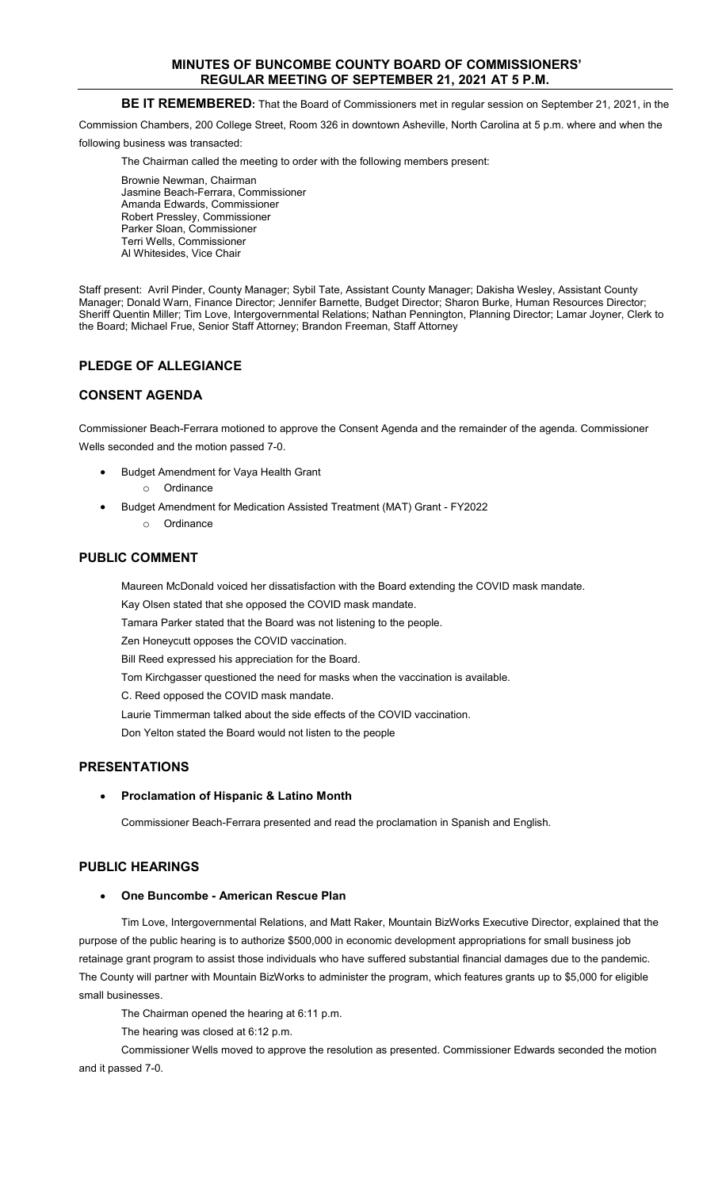# **MINUTES OF BUNCOMBE COUNTY BOARD OF COMMISSIONERS' REGULAR MEETING OF SEPTEMBER 21, 2021 AT 5 P.M.**

# **BE IT REMEMBERED:** That the Board of Commissioners met in regular session on September 21, 2021, in the

Commission Chambers, 200 College Street, Room 326 in downtown Asheville, North Carolina at 5 p.m. where and when the

following business was transacted:

The Chairman called the meeting to order with the following members present:

Brownie Newman, Chairman Jasmine Beach-Ferrara, Commissioner Amanda Edwards, Commissioner Robert Pressley, Commissioner Parker Sloan, Commissioner Terri Wells, Commissioner Al Whitesides, Vice Chair

Staff present: Avril Pinder, County Manager; Sybil Tate, Assistant County Manager; Dakisha Wesley, Assistant County Manager; Donald Warn, Finance Director; Jennifer Barnette, Budget Director; Sharon Burke, Human Resources Director; Sheriff Quentin Miller; Tim Love, Intergovernmental Relations; Nathan Pennington, Planning Director; Lamar Joyner, Clerk to the Board; Michael Frue, Senior Staff Attorney; Brandon Freeman, Staff Attorney

# **PLEDGE OF ALLEGIANCE**

# **CONSENT AGENDA**

Commissioner Beach-Ferrara motioned to approve the Consent Agenda and the remainder of the agenda. Commissioner Wells seconded and the motion passed 7-0.

- Budget Amendment for Vaya Health Grant o Ordinance
- Budget Amendment for Medication Assisted Treatment (MAT) Grant FY2022
	- o Ordinance

# **PUBLIC COMMENT**

Maureen McDonald voiced her dissatisfaction with the Board extending the COVID mask mandate.

Kay Olsen stated that she opposed the COVID mask mandate.

Tamara Parker stated that the Board was not listening to the people.

Zen Honeycutt opposes the COVID vaccination.

Bill Reed expressed his appreciation for the Board.

Tom Kirchgasser questioned the need for masks when the vaccination is available.

C. Reed opposed the COVID mask mandate.

Laurie Timmerman talked about the side effects of the COVID vaccination.

Don Yelton stated the Board would not listen to the people

# **PRESENTATIONS**

### • **Proclamation of Hispanic & Latino Month**

Commissioner Beach-Ferrara presented and read the proclamation in Spanish and English.

# **PUBLIC HEARINGS**

### • **One Buncombe - American Rescue Plan**

Tim Love, Intergovernmental Relations, and Matt Raker, Mountain BizWorks Executive Director, explained that the purpose of the public hearing is to authorize \$500,000 in economic development appropriations for small business job retainage grant program to assist those individuals who have suffered substantial financial damages due to the pandemic. The County will partner with Mountain BizWorks to administer the program, which features grants up to \$5,000 for eligible small businesses.

The Chairman opened the hearing at 6:11 p.m.

The hearing was closed at 6:12 p.m.

Commissioner Wells moved to approve the resolution as presented. Commissioner Edwards seconded the motion and it passed 7-0.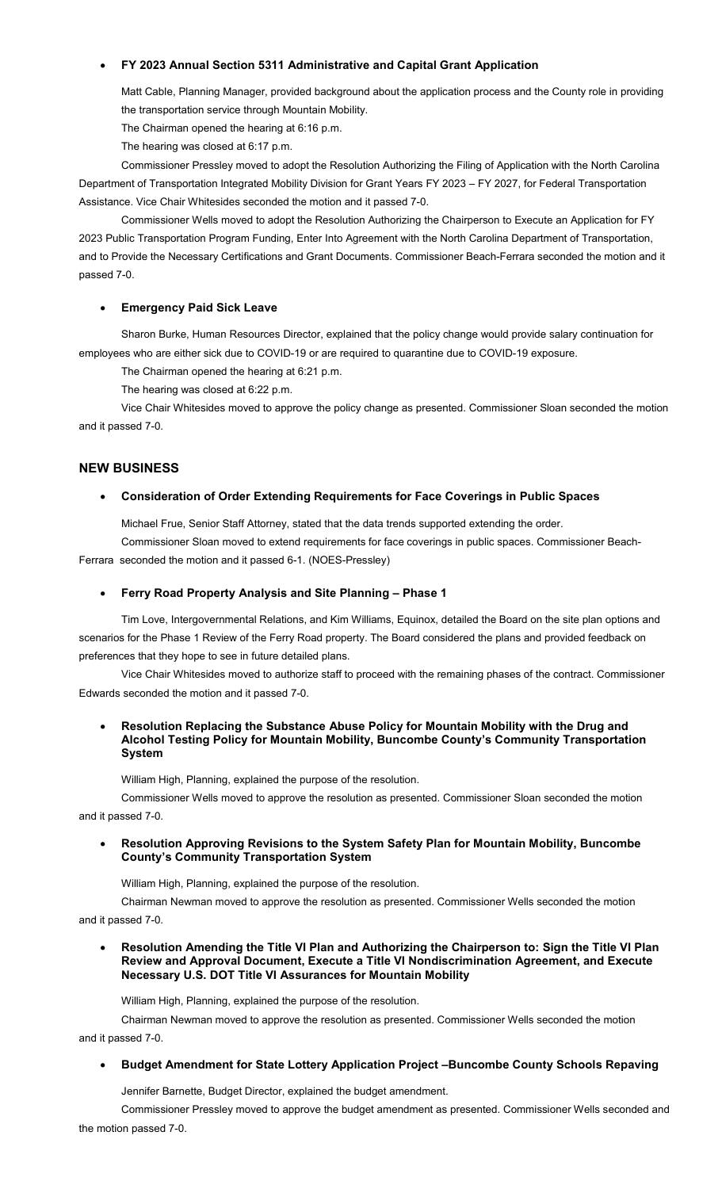## • **FY 2023 Annual Section 5311 Administrative and Capital Grant Application**

Matt Cable, Planning Manager, provided background about the application process and the County role in providing the transportation service through Mountain Mobility.

The Chairman opened the hearing at 6:16 p.m.

The hearing was closed at 6:17 p.m.

Commissioner Pressley moved to adopt the Resolution Authorizing the Filing of Application with the North Carolina Department of Transportation Integrated Mobility Division for Grant Years FY 2023 – FY 2027, for Federal Transportation Assistance. Vice Chair Whitesides seconded the motion and it passed 7-0.

Commissioner Wells moved to adopt the Resolution Authorizing the Chairperson to Execute an Application for FY 2023 Public Transportation Program Funding, Enter Into Agreement with the North Carolina Department of Transportation, and to Provide the Necessary Certifications and Grant Documents. Commissioner Beach-Ferrara seconded the motion and it passed 7-0.

### • **Emergency Paid Sick Leave**

Sharon Burke, Human Resources Director, explained that the policy change would provide salary continuation for employees who are either sick due to COVID-19 or are required to quarantine due to COVID-19 exposure.

The Chairman opened the hearing at 6:21 p.m.

The hearing was closed at 6:22 p.m.

Vice Chair Whitesides moved to approve the policy change as presented. Commissioner Sloan seconded the motion and it passed 7-0.

### **NEW BUSINESS**

## • **Consideration of Order Extending Requirements for Face Coverings in Public Spaces**

Michael Frue, Senior Staff Attorney, stated that the data trends supported extending the order.

Commissioner Sloan moved to extend requirements for face coverings in public spaces. Commissioner Beach-Ferrara seconded the motion and it passed 6-1. (NOES-Pressley)

#### • **Ferry Road Property Analysis and Site Planning – Phase 1**

Tim Love, Intergovernmental Relations, and Kim Williams, Equinox, detailed the Board on the site plan options and scenarios for the Phase 1 Review of the Ferry Road property. The Board considered the plans and provided feedback on preferences that they hope to see in future detailed plans.

Vice Chair Whitesides moved to authorize staff to proceed with the remaining phases of the contract. Commissioner Edwards seconded the motion and it passed 7-0.

#### • **Resolution Replacing the Substance Abuse Policy for Mountain Mobility with the Drug and Alcohol Testing Policy for Mountain Mobility, Buncombe County's Community Transportation System**

William High, Planning, explained the purpose of the resolution.

Commissioner Wells moved to approve the resolution as presented. Commissioner Sloan seconded the motion and it passed 7-0.

## • **Resolution Approving Revisions to the System Safety Plan for Mountain Mobility, Buncombe County's Community Transportation System**

William High, Planning, explained the purpose of the resolution.

Chairman Newman moved to approve the resolution as presented. Commissioner Wells seconded the motion

and it passed 7-0.

#### • **Resolution Amending the Title VI Plan and Authorizing the Chairperson to: Sign the Title VI Plan Review and Approval Document, Execute a Title VI Nondiscrimination Agreement, and Execute Necessary U.S. DOT Title VI Assurances for Mountain Mobility**

William High, Planning, explained the purpose of the resolution.

Chairman Newman moved to approve the resolution as presented. Commissioner Wells seconded the motion and it passed 7-0.

#### • **Budget Amendment for State Lottery Application Project –Buncombe County Schools Repaving**

Jennifer Barnette, Budget Director, explained the budget amendment.

Commissioner Pressley moved to approve the budget amendment as presented. Commissioner Wells seconded and the motion passed 7-0.